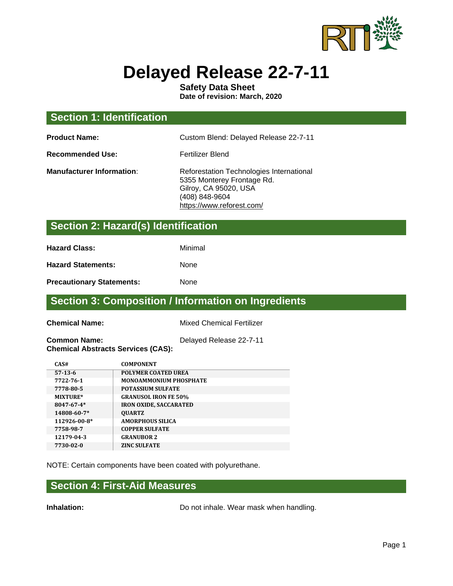

# **Delayed Release 22-7-11**

**Safety Data Sheet Date of revision: March, 2020**

| <b>Section 1: Identification</b> |                                                                                                                                                |
|----------------------------------|------------------------------------------------------------------------------------------------------------------------------------------------|
| <b>Product Name:</b>             | Custom Blend: Delayed Release 22-7-11                                                                                                          |
| <b>Recommended Use:</b>          | Fertilizer Blend                                                                                                                               |
| <b>Manufacturer Information:</b> | Reforestation Technologies International<br>5355 Monterey Frontage Rd.<br>Gilroy, CA 95020, USA<br>(408) 848-9604<br>https://www.reforest.com/ |

## **Section 2: Hazard(s) Identification**

**Hazard Class:** Minimal

Hazard Statements: None

**Precautionary Statements:** None

#### **Section 3: Composition / Information on Ingredients**

**Chemical Name:** Mixed Chemical Fertilizer

**Common Name:** Delayed Release 22-7-11 **Chemical Abstracts Services (CAS):**

| CAS#             | <b>COMPONENT</b>              |
|------------------|-------------------------------|
| $57-13-6$        | <b>POLYMER COATED UREA</b>    |
| 7722-76-1        | <b>MONOAMMONIUM PHOSPHATE</b> |
| 7778-80-5        | <b>POTASSIUM SULFATE</b>      |
| MIXTURE*         | <b>GRANUSOL IRON FE 50%</b>   |
| $8047 - 67 - 4*$ | <b>IRON OXIDE, SACCARATED</b> |
| 14808-60-7*      | <b>OUARTZ</b>                 |
| 112926-00-8*     | <b>AMORPHOUS SILICA</b>       |
| 7758-98-7        | <b>COPPER SULFATE</b>         |
| 12179-04-3       | <b>GRANUBOR 2</b>             |
| 7730-02-0        | <b>ZINC SULFATE</b>           |

NOTE: Certain components have been coated with polyurethane.

#### **Section 4: First-Aid Measures**

**Inhalation:** Do not inhale. Wear mask when handling.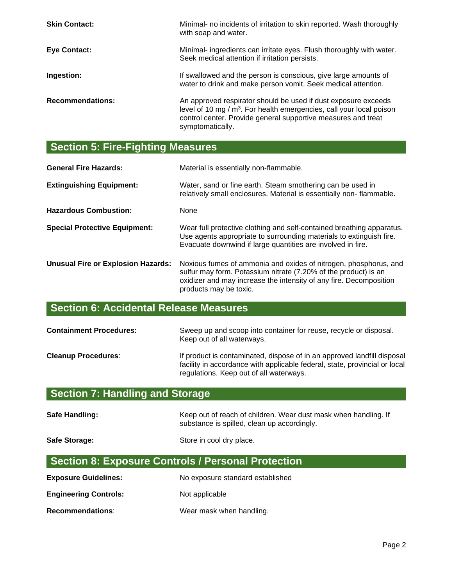| <b>Skin Contact:</b>    | Minimal- no incidents of irritation to skin reported. Wash thoroughly<br>with soap and water.                                                                                                                                           |
|-------------------------|-----------------------------------------------------------------------------------------------------------------------------------------------------------------------------------------------------------------------------------------|
| <b>Eye Contact:</b>     | Minimal- ingredients can irritate eyes. Flush thoroughly with water.<br>Seek medical attention if irritation persists.                                                                                                                  |
| Ingestion:              | If swallowed and the person is conscious, give large amounts of<br>water to drink and make person vomit. Seek medical attention.                                                                                                        |
| <b>Recommendations:</b> | An approved respirator should be used if dust exposure exceeds<br>level of 10 mg / m <sup>3</sup> . For health emergencies, call your local poison<br>control center. Provide general supportive measures and treat<br>symptomatically. |

## **Section 5: Fire-Fighting Measures**

| <b>General Fire Hazards:</b>              | Material is essentially non-flammable.                                                                                                                                                                                              |
|-------------------------------------------|-------------------------------------------------------------------------------------------------------------------------------------------------------------------------------------------------------------------------------------|
| <b>Extinguishing Equipment:</b>           | Water, sand or fine earth. Steam smothering can be used in<br>relatively small enclosures. Material is essentially non-flammable.                                                                                                   |
| <b>Hazardous Combustion:</b>              | <b>None</b>                                                                                                                                                                                                                         |
| <b>Special Protective Equipment:</b>      | Wear full protective clothing and self-contained breathing apparatus.<br>Use agents appropriate to surrounding materials to extinguish fire.<br>Evacuate downwind if large quantities are involved in fire.                         |
| <b>Unusual Fire or Explosion Hazards:</b> | Noxious fumes of ammonia and oxides of nitrogen, phosphorus, and<br>sulfur may form. Potassium nitrate (7.20% of the product) is an<br>oxidizer and may increase the intensity of any fire. Decomposition<br>products may be toxic. |

## **Section 6: Accidental Release Measures**

| <b>Containment Procedures:</b> | Sweep up and scoop into container for reuse, recycle or disposal.<br>Keep out of all waterways.                                                                                                  |
|--------------------------------|--------------------------------------------------------------------------------------------------------------------------------------------------------------------------------------------------|
| <b>Cleanup Procedures:</b>     | If product is contaminated, dispose of in an approved landfill disposal<br>facility in accordance with applicable federal, state, provincial or local<br>regulations. Keep out of all waterways. |

# **Section 7: Handling and Storage**

| Safe Handling: | Keep out of reach of children. Wear dust mask when handling. If |
|----------------|-----------------------------------------------------------------|
|                | substance is spilled, clean up accordingly.                     |

Safe Storage: Safe Store in cool dry place.

## **Section 8: Exposure Controls / Personal Protection**

| <b>Exposure Guidelines:</b>  | No exposure standard established |
|------------------------------|----------------------------------|
| <b>Engineering Controls:</b> | Not applicable                   |
| <b>Recommendations:</b>      | Wear mask when handling.         |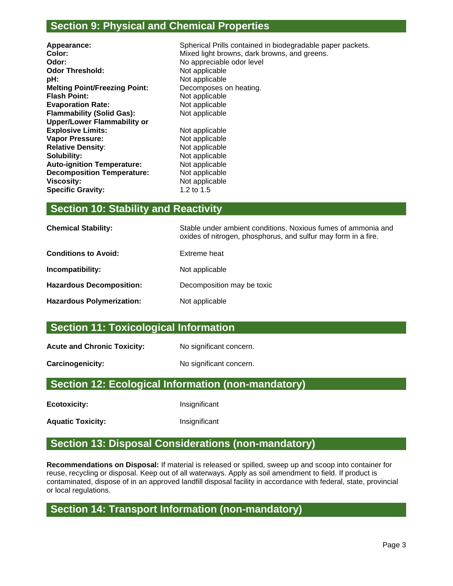#### **Section 9: Physical and Chemical Properties**

| Appearance:                          |
|--------------------------------------|
| Color:                               |
| Odor:                                |
| <b>Odor Threshold:</b>               |
| pH:                                  |
| <b>Melting Point/Freezing Point:</b> |
| <b>Flash Point:</b>                  |
| <b>Evaporation Rate:</b>             |
| <b>Flammability (Solid Gas):</b>     |
| <b>Upper/Lower Flammability or</b>   |
| <b>Explosive Limits:</b>             |
| <b>Vapor Pressure:</b>               |
| <b>Relative Density:</b>             |
| Solubility:                          |
| <b>Auto-ignition Temperature:</b>    |
| <b>Decomposition Temperature:</b>    |
| <b>Viscosity:</b>                    |
| <b>Specific Gravity:</b>             |
|                                      |

Spherical Prills contained in biodegradable paper packets. Mixed light browns, dark browns, and greens. **Odor:** No appreciable odor level **Not applicable pH:** Not applicable Decomposes on heating. **Not applicable Not applicable Not applicable Not applicable Not applicable Not applicable Not applicable Not applicable Not applicable Viscosity:** Not applicable

#### **Section 10: Stability and Reactivity**

| <b>Chemical Stability:</b>       | Stable under ambient conditions. Noxious fumes of ammonia and<br>oxides of nitrogen, phosphorus, and sulfur may form in a fire. |
|----------------------------------|---------------------------------------------------------------------------------------------------------------------------------|
| <b>Conditions to Avoid:</b>      | Extreme heat                                                                                                                    |
| Incompatibility:                 | Not applicable                                                                                                                  |
| <b>Hazardous Decomposition:</b>  | Decomposition may be toxic                                                                                                      |
| <b>Hazardous Polymerization:</b> | Not applicable                                                                                                                  |
|                                  |                                                                                                                                 |

**Specific Gravity:** 1.2 to 1.5

#### **Section 11: Toxicological Information**

Acute and Chronic Toxicity: No significant concern.

**Carcinogenicity:** No significant concern.

#### **Section 12: Ecological Information (non-mandatory)**

**Ecotoxicity:** Insignificant

**Aquatic Toxicity:** Insignificant

#### **Section 13: Disposal Considerations (non-mandatory)**

**Recommendations on Disposal:** If material is released or spilled, sweep up and scoop into container for reuse, recycling or disposal. Keep out of all waterways. Apply as soil amendment to field. If product is contaminated, dispose of in an approved landfill disposal facility in accordance with federal, state, provincial or local regulations.

#### **Section 14: Transport Information (non-mandatory)**